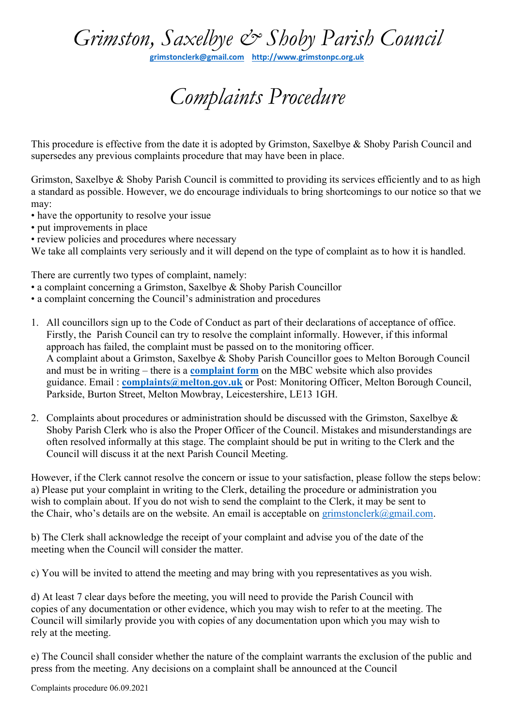## *Grimston, Saxelbye & Shoby Parish Council*

**[grimstonclerk@gmail.com](mailto:grimstonclerk@gmail.com) [http://www.grimstonpc.org.uk](http://www.grimstonpc.org.uk/)**

## *Complaints Procedure*

This procedure is effective from the date it is adopted by Grimston, Saxelbye & Shoby Parish Council and supersedes any previous complaints procedure that may have been in place.

Grimston, Saxelbye & Shoby Parish Council is committed to providing its services efficiently and to as high a standard as possible. However, we do encourage individuals to bring shortcomings to our notice so that we may:

- have the opportunity to resolve your issue
- put improvements in place
- review policies and procedures where necessary

We take all complaints very seriously and it will depend on the type of complaint as to how it is handled.

There are currently two types of complaint, namely:

- a complaint concerning a Grimston, Saxelbye & Shoby Parish Councillor
- a complaint concerning the Council's administration and procedures
- 1. All councillors sign up to the Code of Conduct as part of their declarations of acceptance of office. Firstly, the Parish Council can try to resolve the complaint informally. However, if this informal approach has failed, the complaint must be passed on to the monitoring officer. A complaint about a Grimston, Saxelbye & Shoby Parish Councillor goes to Melton Borough Council and must be in writing – there is a **[complaint form](http://www.melton.gov.uk/downloads/file/1068/complaint_against_a_councillor_form)** on the MBC website which also provides guidance. Email : **[complaints@melton.gov.uk](mailto:complaints@melton.gov.uk)** or Post: Monitoring Officer, Melton Borough Council, Parkside, Burton Street, Melton Mowbray, Leicestershire, LE13 1GH.
- 2. Complaints about procedures or administration should be discussed with the Grimston, Saxelbye & Shoby Parish Clerk who is also the Proper Officer of the Council. Mistakes and misunderstandings are often resolved informally at this stage. The complaint should be put in writing to the Clerk and the Council will discuss it at the next Parish Council Meeting.

However, if the Clerk cannot resolve the concern or issue to your satisfaction, please follow the steps below: a) Please put your complaint in writing to the Clerk, detailing the procedure or administration you wish to complain about. If you do not wish to send the complaint to the Clerk, it may be sent to the Chair, who's details are on the website. An email is acceptable on [grimstonclerk@gmail.com.](mailto:grimstonclerk@gmail.com)

b) The Clerk shall acknowledge the receipt of your complaint and advise you of the date of the meeting when the Council will consider the matter.

c) You will be invited to attend the meeting and may bring with you representatives as you wish.

d) At least 7 clear days before the meeting, you will need to provide the Parish Council with copies of any documentation or other evidence, which you may wish to refer to at the meeting. The Council will similarly provide you with copies of any documentation upon which you may wish to rely at the meeting.

e) The Council shall consider whether the nature of the complaint warrants the exclusion of the public and press from the meeting. Any decisions on a complaint shall be announced at the Council